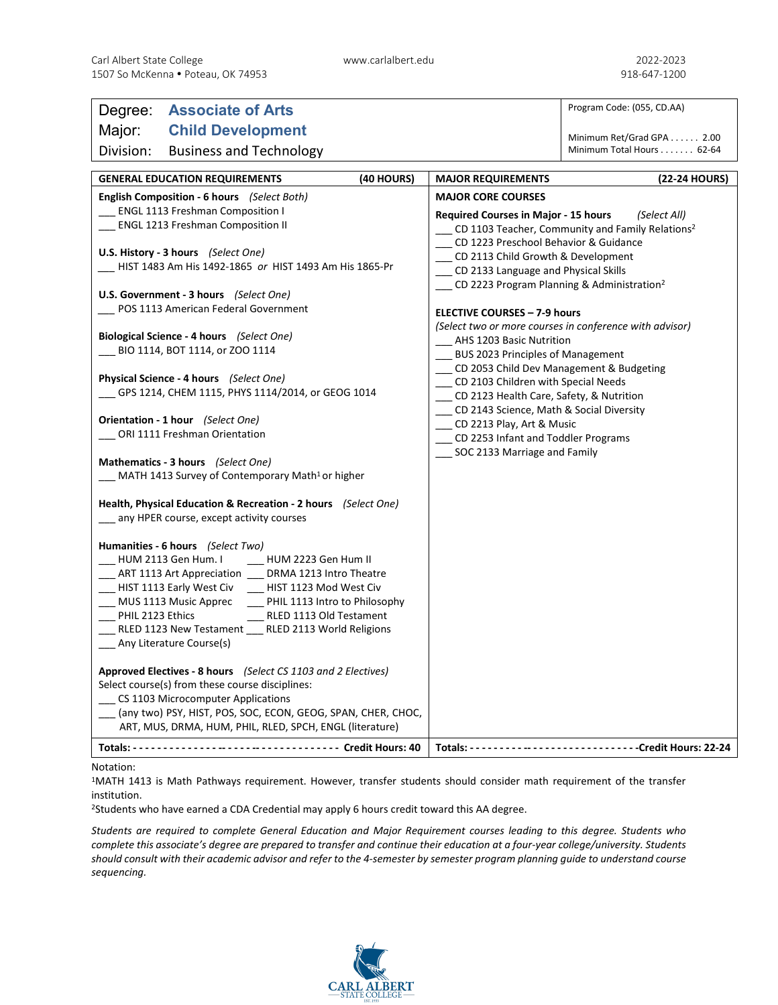| Degree: Associate of Arts                                                                           |                                                                                     | Program Code: (055, CD.AA)                             |
|-----------------------------------------------------------------------------------------------------|-------------------------------------------------------------------------------------|--------------------------------------------------------|
| Major:<br><b>Child Development</b>                                                                  |                                                                                     |                                                        |
| Division:<br><b>Business and Technology</b>                                                         |                                                                                     | Minimum Ret/Grad GPA 2.00<br>Minimum Total Hours 62-64 |
| (40 HOURS)<br><b>GENERAL EDUCATION REQUIREMENTS</b>                                                 | <b>MAJOR REQUIREMENTS</b>                                                           | (22-24 HOURS)                                          |
| <b>English Composition - 6 hours</b> (Select Both)                                                  | <b>MAJOR CORE COURSES</b>                                                           |                                                        |
| __ ENGL 1113 Freshman Composition I                                                                 | <b>Required Courses in Major - 15 hours</b><br>(Select All)                         |                                                        |
| ENGL 1213 Freshman Composition II                                                                   | __ CD 1103 Teacher, Community and Family Relations <sup>2</sup>                     |                                                        |
|                                                                                                     | __ CD 1223 Preschool Behavior & Guidance                                            |                                                        |
| U.S. History - 3 hours (Select One)<br>__ CD 2113 Child Growth & Development                        |                                                                                     |                                                        |
| HIST 1483 Am His 1492-1865 or HIST 1493 Am His 1865-Pr                                              | __ CD 2133 Language and Physical Skills                                             |                                                        |
| U.S. Government - 3 hours (Select One)                                                              | CD 2223 Program Planning & Administration <sup>2</sup>                              |                                                        |
| POS 1113 American Federal Government                                                                |                                                                                     |                                                        |
|                                                                                                     | <b>ELECTIVE COURSES - 7-9 hours</b>                                                 |                                                        |
| Biological Science - 4 hours (Select One)                                                           | (Select two or more courses in conference with advisor)<br>AHS 1203 Basic Nutrition |                                                        |
| BIO 1114, BOT 1114, or ZOO 1114                                                                     | <b>BUS 2023 Principles of Management</b>                                            |                                                        |
|                                                                                                     | __ CD 2053 Child Dev Management & Budgeting                                         |                                                        |
| <b>Physical Science - 4 hours</b> (Select One)                                                      | CD 2103 Children with Special Needs                                                 |                                                        |
| GPS 1214, CHEM 1115, PHYS 1114/2014, or GEOG 1014                                                   | __ CD 2123 Health Care, Safety, & Nutrition                                         |                                                        |
|                                                                                                     | __ CD 2143 Science, Math & Social Diversity                                         |                                                        |
| Orientation - 1 hour (Select One)                                                                   | CD 2213 Play, Art & Music                                                           |                                                        |
| ORI 1111 Freshman Orientation                                                                       | __ CD 2253 Infant and Toddler Programs                                              |                                                        |
| Mathematics - 3 hours (Select One)                                                                  | SOC 2133 Marriage and Family                                                        |                                                        |
| MATH 1413 Survey of Contemporary Math <sup>1</sup> or higher                                        |                                                                                     |                                                        |
|                                                                                                     |                                                                                     |                                                        |
| Health, Physical Education & Recreation - 2 hours (Select One)                                      |                                                                                     |                                                        |
| any HPER course, except activity courses                                                            |                                                                                     |                                                        |
|                                                                                                     |                                                                                     |                                                        |
| Humanities - 6 hours (Select Two)<br>HUM 2113 Gen Hum. I<br>__ HUM 2223 Gen Hum II                  |                                                                                     |                                                        |
| ART 1113 Art Appreciation DRMA 1213 Intro Theatre                                                   |                                                                                     |                                                        |
| __ HIST 1113 Early West Civ ___ HIST 1123 Mod West Civ                                              |                                                                                     |                                                        |
| MUS 1113 Music Apprec<br>PHIL 1113 Intro to Philosophy                                              |                                                                                     |                                                        |
| PHIL 2123 Ethics<br>__ RLED 1113 Old Testament                                                      |                                                                                     |                                                        |
| _ RLED 1123 New Testament _ RLED 2113 World Religions                                               |                                                                                     |                                                        |
| Any Literature Course(s)                                                                            |                                                                                     |                                                        |
|                                                                                                     |                                                                                     |                                                        |
| Approved Electives - 8 hours (Select CS 1103 and 2 Electives)                                       |                                                                                     |                                                        |
| Select course(s) from these course disciplines:                                                     |                                                                                     |                                                        |
| _CS 1103 Microcomputer Applications<br>(any two) PSY, HIST, POS, SOC, ECON, GEOG, SPAN, CHER, CHOC, |                                                                                     |                                                        |
| ART, MUS, DRMA, HUM, PHIL, RLED, SPCH, ENGL (literature)                                            |                                                                                     |                                                        |
|                                                                                                     |                                                                                     |                                                        |
|                                                                                                     |                                                                                     |                                                        |

## Notation:

1MATH 1413 is Math Pathways requirement. However, transfer students should consider math requirement of the transfer institution.

2Students who have earned a CDA Credential may apply 6 hours credit toward this AA degree.

*Students are required to complete General Education and Major Requirement courses leading to this degree. Students who complete this associate's degree are prepared to transfer and continue their education at a four-year college/university. Students should consult with their academic advisor and refer to the 4-semester by semester program planning guide to understand course sequencing.*